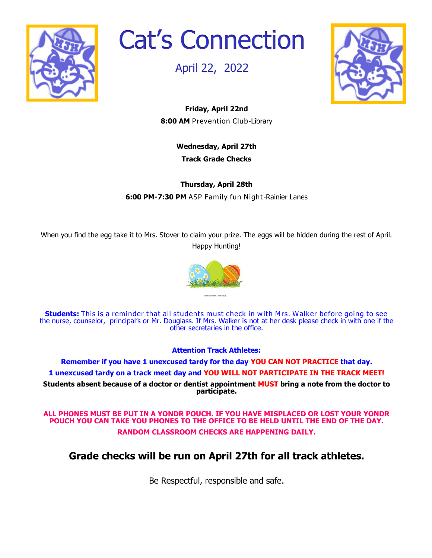

Cat's Connection

April 22, 2022



**Friday, April 22nd 8:00 AM** Prevention Club-Library

> **Wednesday, April 27th Track Grade Checks**

**Thursday, April 28th 6:00 PM-7:30 PM** ASP Family fun Night-Rainier Lanes

When you find the egg take it to Mrs. Stover to claim your prize. The eggs will be hidden during the rest of April. Happy Hunting!



**Students:** This is a reminder that all students must check in with Mrs. Walker before going to see the nurse, counselor, principal's or Mr. Douglass. If Mrs. Walker is not at her desk please check in with one if the other secretaries in the office.

**Attention Track Athletes:** 

**Remember if you have 1 unexcused tardy for the day YOU CAN NOT PRACTICE that day. 1 unexcused tardy on a track meet day and YOU WILL NOT PARTICIPATE IN THE TRACK MEET! Students absent because of a doctor or dentist appointment MUST bring a note from the doctor to participate.**

**ALL PHONES MUST BE PUT IN A YONDR POUCH. IF YOU HAVE MISPLACED OR LOST YOUR YONDR POUCH YOU CAN TAKE YOU PHONES TO THE OFFICE TO BE HELD UNTIL THE END OF THE DAY. RANDOM CLASSROOM CHECKS ARE HAPPENING DAILY.**

## **Grade checks will be run on April 27th for all track athletes.**

Be Respectful, responsible and safe.